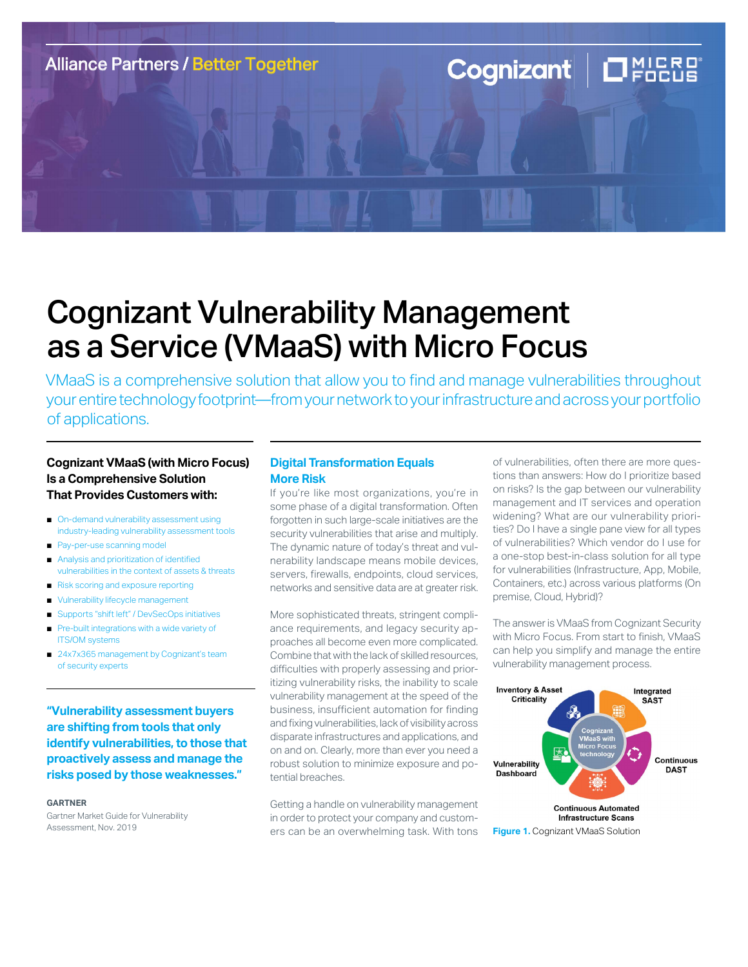# Alliance Partners / Better Together

# Cognizant

# Cognizant Vulnerability Management as a Service (VMaaS) with Micro Focus

VMaaS is a comprehensive solution that allow you to find and manage vulnerabilities throughout your entire technology footprint—from your network to your infrastructure and across your portfolio of applications.

### **Cognizant VMaaS (with Micro Focus) Is a Comprehensive Solution That Provides Customers with:**

- On-demand vulnerability assessment using industry-leading vulnerability assessment tools
- Pay-per-use scanning model
- Analysis and prioritization of identified vulnerabilities in the context of assets & threats
- Risk scoring and exposure reporting
- Vulnerability lifecycle management
- Supports "shift left" / DevSecOps initiatives
- Pre-built integrations with a wide variety of ITS/OM systems
- 24x7x365 management by Cognizant's team of security experts

**"Vulnerability assessment buyers are shifting from tools that only identify vulnerabilities, to those that proactively assess and manage the risks posed by those weaknesses."**

#### **GARTNER**

Gartner Market Guide for Vulnerability

#### **Digital Transformation Equals More Risk**

If you're like most organizations, you're in some phase of a digital transformation. Often forgotten in such large-scale initiatives are the security vulnerabilities that arise and multiply. The dynamic nature of today's threat and vulnerability landscape means mobile devices, servers, firewalls, endpoints, cloud services, networks and sensitive data are at greater risk.

More sophisticated threats, stringent compliance requirements, and legacy security approaches all become even more complicated. Combine that with the lack of skilled resources, difficulties with properly assessing and prioritizing vulnerability risks, the inability to scale vulnerability management at the speed of the business, insufficient automation for finding and fixing vulnerabilities, lack of visibility across disparate infrastructures and applications, and on and on. Clearly, more than ever you need a robust solution to minimize exposure and potential breaches.

Getting a handle on vulnerability management in order to protect your company and custom-Assessment, Nov. 2019 **Figure 1. Cognizant VMaaS Solution** ers can be an overwhelming task. With tons **Figure 1. Cognizant VMaaS Solution** 

of vulnerabilities, often there are more questions than answers: How do I prioritize based on risks? Is the gap between our vulnerability management and IT services and operation widening? What are our vulnerability priorities? Do I have a single pane view for all types of vulnerabilities? Which vendor do I use for a one-stop best-in-class solution for all type for vulnerabilities (Infrastructure, App, Mobile, Containers, etc.) across various platforms (On premise, Cloud, Hybrid)?

The answer is VMaaS from Cognizant Security with Micro Focus. From start to finish, VMaaS can help you simplify and manage the entire vulnerability management process.